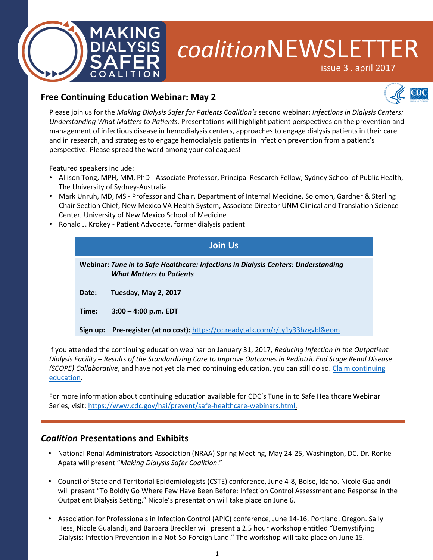

# *coalition*NEWSLETTER

issue 3 . april 2017



# **Free Continuing Education Webinar: May 2**

Please join us for the *Making Dialysis Safer for Patients Coalition's* second webinar: *Infections in Dialysis Centers: Understanding What Matters to Patients.* Presentations will highlight patient perspectives on the prevention and management of infectious disease in hemodialysis centers, approaches to engage dialysis patients in their care and in research, and strategies to engage hemodialysis patients in infection prevention from a patient's perspective. Please spread the word among your colleagues!

Featured speakers include:

- Allison Tong, MPH, MM, PhD Associate Professor, Principal Research Fellow, Sydney School of Public Health, The University of Sydney-Australia
- Mark Unruh, MD, MS Professor and Chair, Department of Internal Medicine, Solomon, Gardner & Sterling Chair Section Chief, New Mexico VA Health System, Associate Director UNM Clinical and Translation Science Center, University of New Mexico School of Medicine
- Ronald J. Krokey Patient Advocate, former dialysis patient

|          | <b>Join Us</b>                                                                                                               |
|----------|------------------------------------------------------------------------------------------------------------------------------|
|          | <b>Webinar: Tune in to Safe Healthcare: Infections in Dialysis Centers: Understanding</b><br><b>What Matters to Patients</b> |
| Date:    | Tuesday, May 2, 2017                                                                                                         |
| Time:    | $3:00 - 4:00$ p.m. EDT                                                                                                       |
| Sign up: | Pre-register (at no cost): https://cc.readytalk.com/r/ty1y33hzgvbl&eom                                                       |

If you attended the continuing education webinar on January 31, 2017, *Reducing Infection in the Outpatient Dialysis Facility – Results of the Standardizing Care to Improve Outcomes in Pediatric End Stage Renal Disease (SCOPE) Collaborative*[, and have not yet claimed continuing education, you can still do so. Claim continuing](https://www.cdc.gov/infectioncontrol/pdf/webinarslides/ce-info-making-dialysis-safer.pdf) education.

For more information about continuing education available for CDC's Tune in to Safe Healthcare Webinar Series, visit: [https://www.cdc.gov/hai/prevent/safe-healthcare-webinars.html.](https://www.cdc.gov/hai/prevent/safe-healthcare-webinars.html)

## *Coalition* **Presentations and Exhibits**

- National Renal Administrators Association (NRAA) Spring Meeting, May 24-25, Washington, DC. Dr. Ronke Apata will present "*Making Dialysis Safer Coalition*."
- Council of State and Territorial Epidemiologists (CSTE) conference, June 4-8, Boise, Idaho. Nicole Gualandi will present "To Boldly Go Where Few Have Been Before: Infection Control Assessment and Response in the Outpatient Dialysis Setting." Nicole's presentation will take place on June 6.
- Association for Professionals in Infection Control (APIC) conference, June 14-16, Portland, Oregon. Sally Hess, Nicole Gualandi, and Barbara Breckler will present a 2.5 hour workshop entitled "Demystifying Dialysis: Infection Prevention in a Not-So-Foreign Land." The workshop will take place on June 15.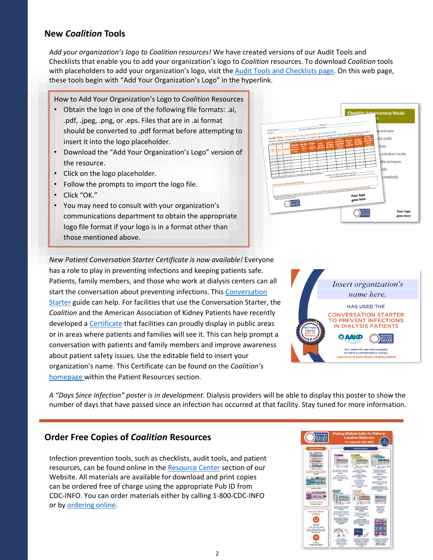# **New** *Coalition* **Tools**

*Add your organization's logo to Coalition resources!* We have created versions of our Audit Tools and Checklists that enable you to add your organization's logo to *Coalition* resources. To download *Coalition* tools with placeholders to add your organization's logo, visit the [Audit Tools and Checklists page](https://www.cdc.gov/dialysis/prevention-tools/audit-tools.html). On this web page, these tools begin with "Add Your Organization's Logo" in the hyperlink.

How to Add Your Organization's Logo to *Coalition* Resources

- Obtain the logo in one of the following file formats: .ai, .pdf, .jpeg, .png, or .eps. Files that are in .ai format should be converted to .pdf format before attempting to insert it into the logo placeholder.
- Download the "Add Your Organization's Logo" version of the resource.
- Click on the logo placeholder.
- Follow the prompts to import the logo file.
- Click "OK."
- You may need to consult with your organization's communications department to obtain the appropriate logo file format if your logo is in a format other than those mentioned above.



*New Patient Conversation Starter Certificate is now available!* Everyone has a role to play in preventing infections and keeping patients safe. Patients, family members, and those who work at dialysis centers can all start the conversation about preventing infections. This Conversation Starter guide can help. For facilities that use the Conversation Starter, the *Coalition* and the American Association of Kidney Patients have recently developed a [Certificate](https://www.cdc.gov/dialysis/pdfs/mdsc-certificate.pdf) that facilities can proudly display in public areas or in areas where patients and families will see it. This can help prompt a conversation with patients and family members and improve awareness about patient safety issues. Use the editable field to insert your organization's name. This Certificate can be found on the *Coalition's* [homepage](https://www.cdc.gov/dialysis/coalition/index.html) within the Patient Resources section.



*A "Days Since Infection" poster is in development*. Dialysis providers will be able to display this poster to show the number of days that have passed since an infection has occurred at that facility. Stay tuned for more information.

## **Order Free Copies of** *Coalition* **Resources**

Infection prevention tools, such as checklists, audit tools, and patient resources, can be found online in the [Resource Center](https://www.cdc.gov/dialysis/coalition/resource.html) section of our Website. All materials are available for download and print copies can be ordered free of charge using the appropriate Pub ID from CDC-INFO. You can order materials either by calling 1-800-CDC-INFO or by [ordering online.](https://wwwn.cdc.gov/pubs/CDCInfoOnDemand.aspx?ProgramID=137)

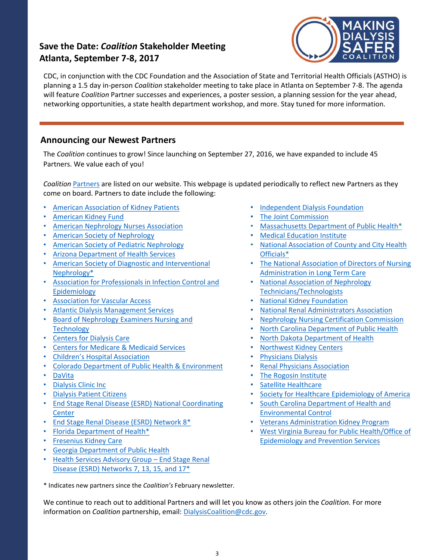# **Save the Date:** *Coalition* **Stakeholder Meeting Atlanta, September 7-8, 2017**



CDC, in conjunction with the CDC Foundation and the Association of State and Territorial Health Officials (ASTHO) is planning a 1.5 day in-person *Coalition* stakeholder meeting to take place in Atlanta on September 7-8. The agenda will feature *Coalition* Partner successes and experiences, a poster session, a planning session for the year ahead, networking opportunities, a state health department workshop, and more. Stay tuned for more information.

# **Announcing our Newest Partners**

The *Coalition* continues to grow! Since launching on September 27, 2016, we have expanded to include 45 Partners. We value each of you!

*Coalition* [Partners](https://www.cdc.gov/dialysis/coalition/partners.html) are listed on our website. This webpage is updated periodically to reflect new Partners as they come on board. Partners to date include the following:

- [American Association of Kidney Patients](https://www.aakp.org/)
- [American Kidney Fund](http://www.kidneyfund.org/)
- [American Nephrology Nurses Association](https://www.annanurse.org/)
- [American Society of Nephrology](https://www.asn-online.org/)
- [American Society of Pediatric Nephrology](http://www.aspneph.com/)
- [Arizona Department of Health Services](http://azdhs.gov/preparedness/epidemiology-disease-control/healthcare-associated-infection/index.php)
- [American Society of Diagnostic and Interventional](http://www.asdin.org/) Nephrology\*
- [Association for Professionals in Infection Control and](http://www.apic.org/)  Epidemiology
- [Association for Vascular Access](http://www.avainfo.org/)
- [Atlantic Dialysis Management Services](http://www.atlanticdialysis.com/)
- [Board of Nephrology Examiners Nursing and](http://www.bonent.org/)  **Technology**
- [Centers for Dialysis Care](http://www.cdcare.org/)
- [Centers for Medicare & Medicaid Services](http://www.cms.gov/)
- [Children's Hospital Association](https://www.childrenshospitals.org/)
- [Colorado Department of Public Health & Environment](https://www.colorado.gov/pacific/cdphe/health-care-associated-infections)
- [DaVita](https://www.davita.com/)
- [Dialysis Clinic Inc](http://www.dciinc.org/)
- [Dialysis Patient Citizens](http://www.dialysispatients.org/)
- [End Stage Renal Disease \(ESRD\) National Coordinating](http://esrdncc.org/)  **Center**
- [End Stage Renal Disease \(ESRD\) Network 8\\*](http://www.esrdnetwork8.org/)
- [Florida Department of Health\\*](http://www.floridahealth.gov/)
- [Fresenius Kidney Care](https://www.freseniuskidneycare.com/)
- [Georgia Department of Public Health](http://dph.georgia.gov/healthcare-associated-infections)
- Health Services Advisory Group End Stage Renal [Disease \(ESRD\) Networks 7, 13, 15, and 17\\*](https://www.hsag.com/en/esrd-networks/)
- [Independent Dialysis Foundation](http://www.idfdn.org/)
- [The Joint Commission](https://www.jointcommission.org/)
- [Massachusetts Department of Public Health](http://www.mass.gov/eohhs/gov/departments/dph/)\*
- [Medical Education Institute](https://meiresearch.org/)
- [National Association of County and City Health](http://www.naccho.org/) Officials\*
- [The National Association of Directors of Nursing](https://www.nadona.org/) Administration in Long Term Care
- [National Association of Nephrology](http://www.dialysistech.net/)  Technicians/Technologists
- [National Kidney Foundation](https://www.kidney.org/)
- [National Renal Administrators Association](http://www.nraa.org/index.php)
- [Nephrology Nursing Certification Commission](https://www.nncc-exam.org/)
- [North Carolina Department of Public Health](http://epi.publichealth.nc.gov/cd/hai/program.html)
- [North Dakota Department of Health](http://www.ndhealth.gov/disease/hai)
- [Northwest Kidney Centers](http://www.nwkidney.org/)
- [Physicians Dialysis](http://physiciansdialysis.com/)
- [Renal Physicians Association](https://www.renalmd.org/)
- [The Rogosin Institute](https://www.rogosin.org/)
- [Satellite Healthcare](http://www.satellitehealth.com/)
- [Society for Healthcare Epidemiology of America](http://www.shea-online.org/)
- [South Carolina Department of Health and](http://www.scdhec.gov/Health/FindingQualityHealthcare/CompareHospitalInfectionRates/HowInfectionsareSpreadinHospitals)  Environmental Control
- [Veterans Administration Kidney Program](http://www.va.gov/)
- [West Virginia Bureau for Public Health/Office of](http://www.dhhr.wv.gov/oeps/disease/HAI/Pages/default.aspx) Epidemiology and Prevention Services

\* Indicates new partners since the *Coalition's* February newsletter.

We continue to reach out to additional Partners and will let you know as others join the *Coalition.* For more information on *Coalition* partnership, email: [DialysisCoalition@cdc.gov.](mailto:DialysisCoalition@cdc.gov)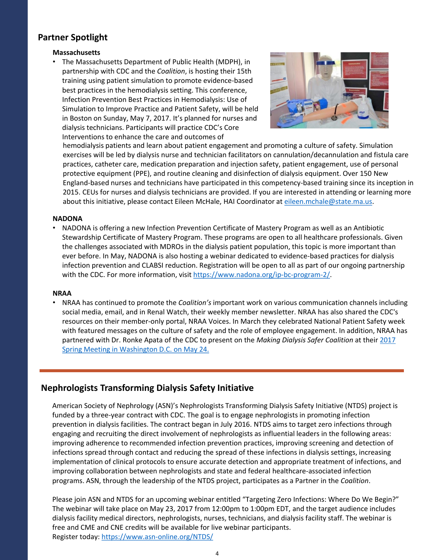# **Partner Spotlight**

#### **Massachusetts**

• The Massachusetts Department of Public Health (MDPH), in partnership with CDC and the *Coalition*, is hosting their 15th training using patient simulation to promote evidence-based best practices in the hemodialysis setting. This conference, Infection Prevention Best Practices in Hemodialysis: Use of Simulation to Improve Practice and Patient Safety, will be held in Boston on Sunday, May 7, 2017. It's planned for nurses and dialysis technicians. Participants will practice CDC's Core Interventions to enhance the care and outcomes of



hemodialysis patients and learn about patient engagement and promoting a culture of safety. Simulation exercises will be led by dialysis nurse and technician facilitators on cannulation/decannulation and fistula care practices, catheter care, medication preparation and injection safety, patient engagement, use of personal protective equipment (PPE), and routine cleaning and disinfection of dialysis equipment. Over 150 New England-based nurses and technicians have participated in this competency-based training since its inception in 2015. CEUs for nurses and dialysis technicians are provided. If you are interested in attending or learning more about this initiative, please contact Eileen McHale, HAI Coordinator at [eileen.mchale@state.ma.us.](mailto:eileen.mchale@state.ma.us)

#### **NADONA**

• NADONA is offering a new Infection Prevention Certificate of Mastery Program as well as an Antibiotic Stewardship Certificate of Mastery Program. These programs are open to all healthcare professionals. Given the challenges associated with MDROs in the dialysis patient population, this topic is more important than ever before. In May, NADONA is also hosting a webinar dedicated to evidence-based practices for dialysis infection prevention and CLABSI reduction. Registration will be open to all as part of our ongoing partnership with the CDC. For more information, visit [https://www.nadona.org/ip-bc-program-2/.](https://www.nadona.org/ip-bc-program-2/)

#### **NRAA**

• NRAA has continued to promote the *Coalition's* important work on various communication channels including social media, email, and in Renal Watch, their weekly member newsletter. NRAA has also shared the CDC's resources on their member-only portal, NRAA Voices. In March they celebrated National Patient Safety week with featured messages on the culture of safety and the role of employee engagement. In addition, NRAA has partnered with Dr. Ronke Apata of the CDC to present on the *Making Dialysis Safer Coalition* at their 2017 [Spring Meeting in Washington D.C. on May 24.](http://nraa.org/index.php/meetings/meetings/spring-meeting)

## **Nephrologists Transforming Dialysis Safety Initiative**

American Society of Nephrology (ASN)'s Nephrologists Transforming Dialysis Safety Initiative (NTDS) project is funded by a three-year contract with CDC. The goal is to engage nephrologists in promoting infection prevention in dialysis facilities. The contract began in July 2016. NTDS aims to target zero infections through engaging and recruiting the direct involvement of nephrologists as influential leaders in the following areas: improving adherence to recommended infection prevention practices, improving screening and detection of infections spread through contact and reducing the spread of these infections in dialysis settings, increasing implementation of clinical protocols to ensure accurate detection and appropriate treatment of infections, and improving collaboration between nephrologists and state and federal healthcare-associated infection programs. ASN, through the leadership of the NTDS project, participates as a Partner in the *Coalition*.

Please join ASN and NTDS for an upcoming webinar entitled "Targeting Zero Infections: Where Do We Begin?" The webinar will take place on May 23, 2017 from 12:00pm to 1:00pm EDT, and the target audience includes dialysis facility medical directors, nephrologists, nurses, technicians, and dialysis facility staff. The webinar is free and CME and CNE credits will be available for live webinar participants. Register today: <https://www.asn-online.org/NTDS/>